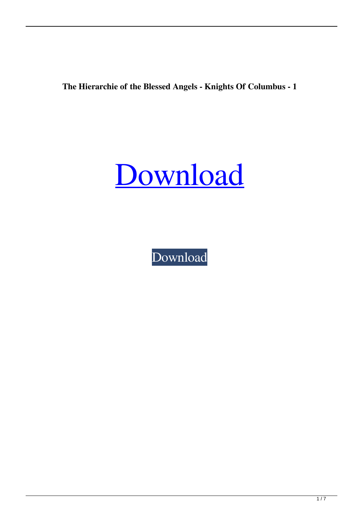**The Hierarchie of the Blessed Angels - Knights Of Columbus - 1**



[Download](https://urluso.com/2l0pu2)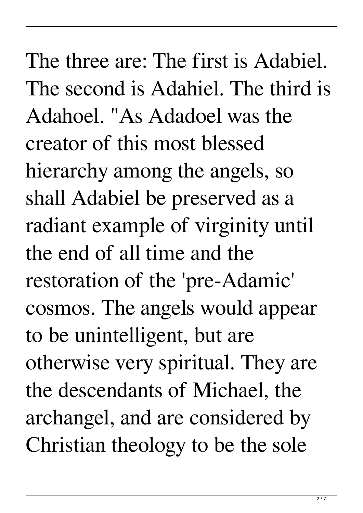The three are: The first is Adabiel. The second is Adahiel. The third is Adahoel. "As Adadoel was the creator of this most blessed hierarchy among the angels, so shall Adabiel be preserved as a radiant example of virginity until the end of all time and the restoration of the 'pre-Adamic' cosmos. The angels would appear to be unintelligent, but are otherwise very spiritual. They are the descendants of Michael, the archangel, and are considered by Christian theology to be the sole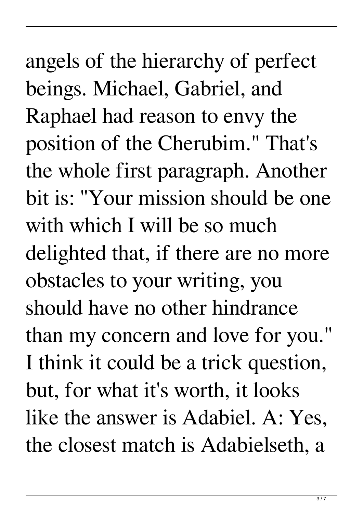angels of the hierarchy of perfect beings. Michael, Gabriel, and Raphael had reason to envy the position of the Cherubim." That's the whole first paragraph. Another bit is: "Your mission should be one with which I will be so much delighted that, if there are no more obstacles to your writing, you should have no other hindrance than my concern and love for you." I think it could be a trick question, but, for what it's worth, it looks like the answer is Adabiel. A: Yes, the closest match is Adabielseth, a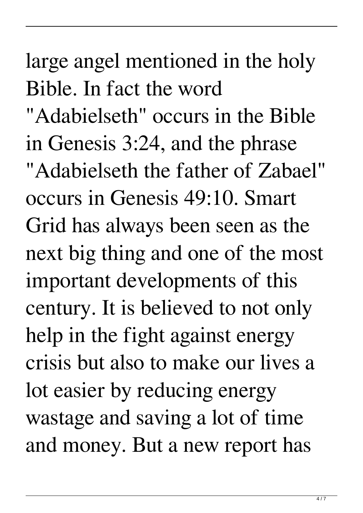large angel mentioned in the holy Bible. In fact the word "Adabielseth" occurs in the Bible in Genesis 3:24, and the phrase "Adabielseth the father of Zabael" occurs in Genesis 49:10. Smart Grid has always been seen as the next big thing and one of the most important developments of this century. It is believed to not only help in the fight against energy crisis but also to make our lives a lot easier by reducing energy wastage and saving a lot of time and money. But a new report has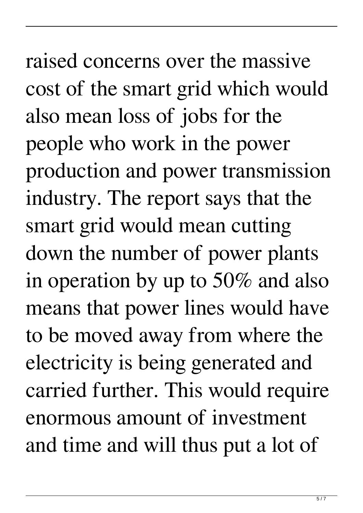raised concerns over the massive cost of the smart grid which would also mean loss of jobs for the people who work in the power production and power transmission industry. The report says that the smart grid would mean cutting down the number of power plants in operation by up to 50% and also means that power lines would have to be moved away from where the electricity is being generated and carried further. This would require enormous amount of investment and time and will thus put a lot of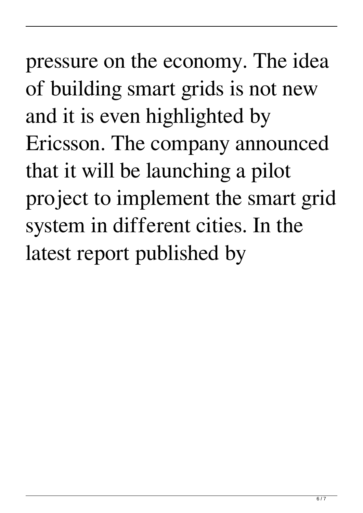pressure on the economy. The idea of building smart grids is not new and it is even highlighted by Ericsson. The company announced that it will be launching a pilot project to implement the smart grid system in different cities. In the latest report published by